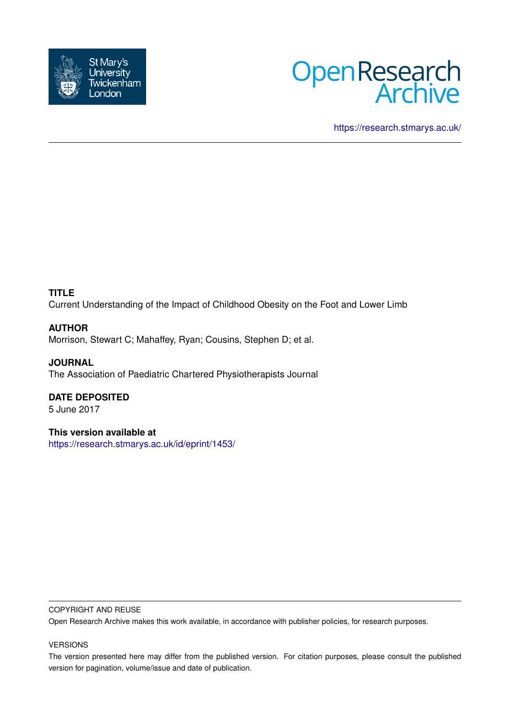



<https://research.stmarys.ac.uk/>

# **TITLE**

Current Understanding of the Impact of Childhood Obesity on the Foot and Lower Limb

# **AUTHOR**

Morrison, Stewart C; Mahaffey, Ryan; Cousins, Stephen D; et al.

**JOURNAL** The Association of Paediatric Chartered Physiotherapists Journal

# **DATE DEPOSITED**

5 June 2017

# **This version available at**

<https://research.stmarys.ac.uk/id/eprint/1453/>

## COPYRIGHT AND REUSE

Open Research Archive makes this work available, in accordance with publisher policies, for research purposes.

## VERSIONS

The version presented here may differ from the published version. For citation purposes, please consult the published version for pagination, volume/issue and date of publication.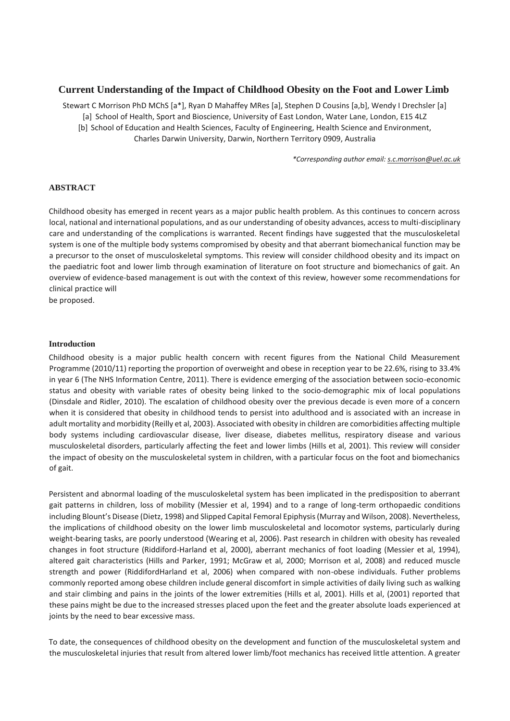## **Current Understanding of the Impact of Childhood Obesity on the Foot and Lower Limb**

Stewart C Morrison PhD MChS [a\*], Ryan D Mahaffey MRes [a], Stephen D Cousins [a,b], Wendy I Drechsler [a]

[a] School of Health, Sport and Bioscience, University of East London, Water Lane, London, E15 4LZ

[b] School of Education and Health Sciences, Faculty of Engineering, Health Science and Environment, Charles Darwin University, Darwin, Northern Territory 0909, Australia

*\*Corresponding author email: s.c.morrison@uel.ac.uk*

#### **ABSTRACT**

Childhood obesity has emerged in recent years as a major public health problem. As this continues to concern across local, national and international populations, and as our understanding of obesity advances, access to multi-disciplinary care and understanding of the complications is warranted. Recent findings have suggested that the musculoskeletal system is one of the multiple body systems compromised by obesity and that aberrant biomechanical function may be a precursor to the onset of musculoskeletal symptoms. This review will consider childhood obesity and its impact on the paediatric foot and lower limb through examination of literature on foot structure and biomechanics of gait. An overview of evidence-based management is out with the context of this review, however some recommendations for clinical practice will

be proposed.

#### **Introduction**

Childhood obesity is a major public health concern with recent figures from the National Child Measurement Programme (2010/11) reporting the proportion of overweight and obese in reception year to be 22.6%, rising to 33.4% in year 6 (The NHS Information Centre, 2011). There is evidence emerging of the association between socio-economic status and obesity with variable rates of obesity being linked to the socio-demographic mix of local populations (Dinsdale and Ridler, 2010). The escalation of childhood obesity over the previous decade is even more of a concern when it is considered that obesity in childhood tends to persist into adulthood and is associated with an increase in adult mortality and morbidity (Reilly et al, 2003). Associated with obesity in children are comorbidities affecting multiple body systems including cardiovascular disease, liver disease, diabetes mellitus, respiratory disease and various musculoskeletal disorders, particularly affecting the feet and lower limbs (Hills et al, 2001). This review will consider the impact of obesity on the musculoskeletal system in children, with a particular focus on the foot and biomechanics of gait.

Persistent and abnormal loading of the musculoskeletal system has been implicated in the predisposition to aberrant gait patterns in children, loss of mobility (Messier et al, 1994) and to a range of long-term orthopaedic conditions including Blount's Disease (Dietz, 1998) and Slipped Capital Femoral Epiphysis (Murray and Wilson, 2008). Nevertheless, the implications of childhood obesity on the lower limb musculoskeletal and locomotor systems, particularly during weight-bearing tasks, are poorly understood (Wearing et al, 2006). Past research in children with obesity has revealed changes in foot structure (Riddiford-Harland et al, 2000), aberrant mechanics of foot loading (Messier et al, 1994), altered gait characteristics (Hills and Parker, 1991; McGraw et al, 2000; Morrison et al, 2008) and reduced muscle strength and power (RiddifordHarland et al, 2006) when compared with non-obese individuals. Futher problems commonly reported among obese children include general discomfort in simple activities of daily living such as walking and stair climbing and pains in the joints of the lower extremities (Hills et al, 2001). Hills et al, (2001) reported that these pains might be due to the increased stresses placed upon the feet and the greater absolute loads experienced at joints by the need to bear excessive mass.

To date, the consequences of childhood obesity on the development and function of the musculoskeletal system and the musculoskeletal injuries that result from altered lower limb/foot mechanics has received little attention. A greater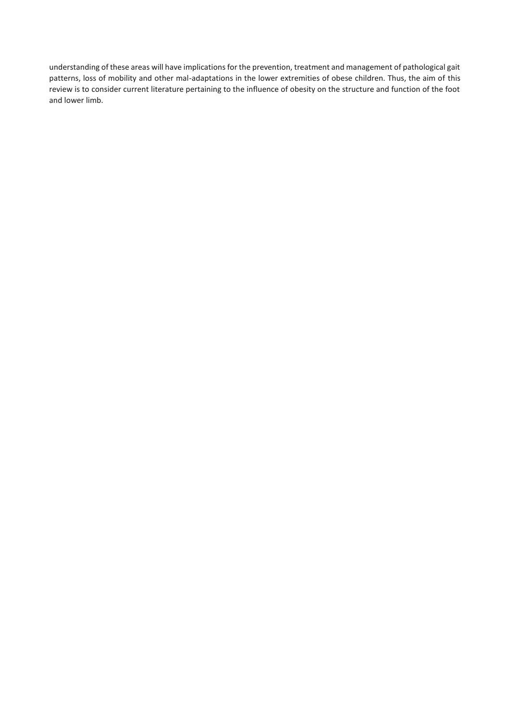understanding of these areas will have implications for the prevention, treatment and management of pathological gait patterns, loss of mobility and other mal-adaptations in the lower extremities of obese children. Thus, the aim of this review is to consider current literature pertaining to the influence of obesity on the structure and function of the foot and lower limb.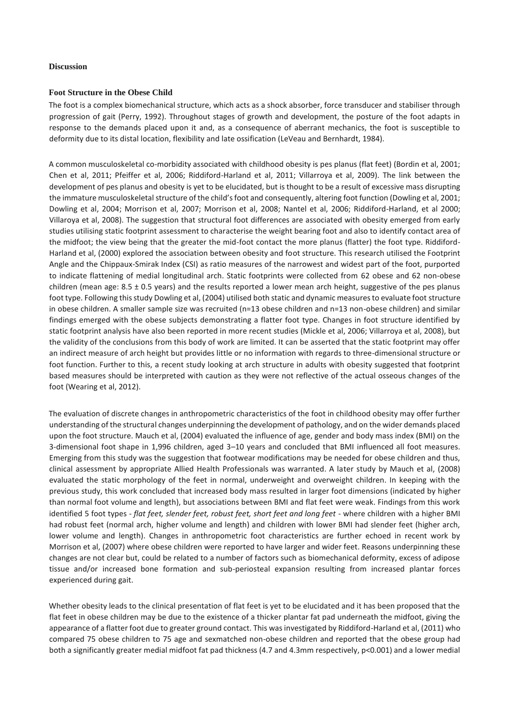#### **Discussion**

#### **Foot Structure in the Obese Child**

The foot is a complex biomechanical structure, which acts as a shock absorber, force transducer and stabiliser through progression of gait (Perry, 1992). Throughout stages of growth and development, the posture of the foot adapts in response to the demands placed upon it and, as a consequence of aberrant mechanics, the foot is susceptible to deformity due to its distal location, flexibility and late ossification (LeVeau and Bernhardt, 1984).

A common musculoskeletal co-morbidity associated with childhood obesity is pes planus (flat feet) (Bordin et al, 2001; Chen et al, 2011; Pfeiffer et al, 2006; Riddiford-Harland et al, 2011; Villarroya et al, 2009). The link between the development of pes planus and obesity is yet to be elucidated, but is thought to be a result of excessive mass disrupting the immature musculoskeletal structure of the child's foot and consequently, altering foot function (Dowling et al, 2001; Dowling et al, 2004; Morrison et al, 2007; Morrison et al, 2008; Nantel et al, 2006; Riddiford-Harland, et al 2000; Villaroya et al, 2008). The suggestion that structural foot differences are associated with obesity emerged from early studies utilising static footprint assessment to characterise the weight bearing foot and also to identify contact area of the midfoot; the view being that the greater the mid-foot contact the more planus (flatter) the foot type. Riddiford-Harland et al, (2000) explored the association between obesity and foot structure. This research utilised the Footprint Angle and the Chippaux-Smirak Index (CSI) as ratio measures of the narrowest and widest part of the foot, purported to indicate flattening of medial longitudinal arch. Static footprints were collected from 62 obese and 62 non-obese children (mean age:  $8.5 \pm 0.5$  years) and the results reported a lower mean arch height, suggestive of the pes planus foot type. Following this study Dowling et al, (2004) utilised both static and dynamic measures to evaluate foot structure in obese children. A smaller sample size was recruited (n=13 obese children and n=13 non-obese children) and similar findings emerged with the obese subjects demonstrating a flatter foot type. Changes in foot structure identified by static footprint analysis have also been reported in more recent studies (Mickle et al, 2006; Villarroya et al, 2008), but the validity of the conclusions from this body of work are limited. It can be asserted that the static footprint may offer an indirect measure of arch height but provides little or no information with regards to three-dimensional structure or foot function. Further to this, a recent study looking at arch structure in adults with obesity suggested that footprint based measures should be interpreted with caution as they were not reflective of the actual osseous changes of the foot (Wearing et al, 2012).

The evaluation of discrete changes in anthropometric characteristics of the foot in childhood obesity may offer further understanding of the structural changes underpinning the development of pathology, and on the wider demands placed upon the foot structure. Mauch et al, (2004) evaluated the influence of age, gender and body mass index (BMI) on the 3-dimensional foot shape in 1,996 children, aged 3–10 years and concluded that BMI influenced all foot measures. Emerging from this study was the suggestion that footwear modifications may be needed for obese children and thus, clinical assessment by appropriate Allied Health Professionals was warranted. A later study by Mauch et al, (2008) evaluated the static morphology of the feet in normal, underweight and overweight children. In keeping with the previous study, this work concluded that increased body mass resulted in larger foot dimensions (indicated by higher than normal foot volume and length), but associations between BMI and flat feet were weak. Findings from this work identified 5 foot types - *flat feet, slender feet, robust feet, short feet and long feet* - where children with a higher BMI had robust feet (normal arch, higher volume and length) and children with lower BMI had slender feet (higher arch, lower volume and length). Changes in anthropometric foot characteristics are further echoed in recent work by Morrison et al, (2007) where obese children were reported to have larger and wider feet. Reasons underpinning these changes are not clear but, could be related to a number of factors such as biomechanical deformity, excess of adipose tissue and/or increased bone formation and sub-periosteal expansion resulting from increased plantar forces experienced during gait.

Whether obesity leads to the clinical presentation of flat feet is yet to be elucidated and it has been proposed that the flat feet in obese children may be due to the existence of a thicker plantar fat pad underneath the midfoot, giving the appearance of a flatter foot due to greater ground contact. This was investigated by Riddiford-Harland et al, (2011) who compared 75 obese children to 75 age and sexmatched non-obese children and reported that the obese group had both a significantly greater medial midfoot fat pad thickness (4.7 and 4.3mm respectively, p<0.001) and a lower medial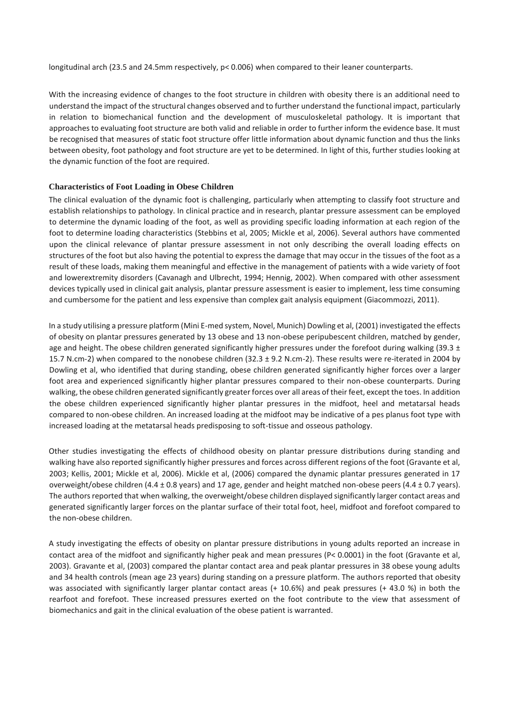longitudinal arch (23.5 and 24.5mm respectively, p< 0.006) when compared to their leaner counterparts.

With the increasing evidence of changes to the foot structure in children with obesity there is an additional need to understand the impact of the structural changes observed and to further understand the functional impact, particularly in relation to biomechanical function and the development of musculoskeletal pathology. It is important that approaches to evaluating foot structure are both valid and reliable in order to further inform the evidence base. It must be recognised that measures of static foot structure offer little information about dynamic function and thus the links between obesity, foot pathology and foot structure are yet to be determined. In light of this, further studies looking at the dynamic function of the foot are required.

#### **Characteristics of Foot Loading in Obese Children**

The clinical evaluation of the dynamic foot is challenging, particularly when attempting to classify foot structure and establish relationships to pathology. In clinical practice and in research, plantar pressure assessment can be employed to determine the dynamic loading of the foot, as well as providing specific loading information at each region of the foot to determine loading characteristics (Stebbins et al, 2005; Mickle et al, 2006). Several authors have commented upon the clinical relevance of plantar pressure assessment in not only describing the overall loading effects on structures of the foot but also having the potential to express the damage that may occur in the tissues of the foot as a result of these loads, making them meaningful and effective in the management of patients with a wide variety of foot and lowerextremity disorders (Cavanagh and Ulbrecht, 1994; Hennig, 2002). When compared with other assessment devices typically used in clinical gait analysis, plantar pressure assessment is easier to implement, less time consuming and cumbersome for the patient and less expensive than complex gait analysis equipment (Giacommozzi, 2011).

In a study utilising a pressure platform (Mini E-med system, Novel, Munich) Dowling et al, (2001) investigated the effects of obesity on plantar pressures generated by 13 obese and 13 non-obese peripubescent children, matched by gender, age and height. The obese children generated significantly higher pressures under the forefoot during walking (39.3  $\pm$ 15.7 N.cm-2) when compared to the nonobese children (32.3 ± 9.2 N.cm-2). These results were re-iterated in 2004 by Dowling et al, who identified that during standing, obese children generated significantly higher forces over a larger foot area and experienced significantly higher plantar pressures compared to their non-obese counterparts. During walking, the obese children generated significantly greater forces over all areas of their feet, except the toes. In addition the obese children experienced significantly higher plantar pressures in the midfoot, heel and metatarsal heads compared to non-obese children. An increased loading at the midfoot may be indicative of a pes planus foot type with increased loading at the metatarsal heads predisposing to soft-tissue and osseous pathology.

Other studies investigating the effects of childhood obesity on plantar pressure distributions during standing and walking have also reported significantly higher pressures and forces across different regions of the foot (Gravante et al, 2003; Kellis, 2001; Mickle et al, 2006). Mickle et al, (2006) compared the dynamic plantar pressures generated in 17 overweight/obese children (4.4  $\pm$  0.8 years) and 17 age, gender and height matched non-obese peers (4.4  $\pm$  0.7 years). The authors reported that when walking, the overweight/obese children displayed significantly larger contact areas and generated significantly larger forces on the plantar surface of their total foot, heel, midfoot and forefoot compared to the non-obese children.

A study investigating the effects of obesity on plantar pressure distributions in young adults reported an increase in contact area of the midfoot and significantly higher peak and mean pressures (P< 0.0001) in the foot (Gravante et al, 2003). Gravante et al, (2003) compared the plantar contact area and peak plantar pressures in 38 obese young adults and 34 health controls (mean age 23 years) during standing on a pressure platform. The authors reported that obesity was associated with significantly larger plantar contact areas (+ 10.6%) and peak pressures (+ 43.0 %) in both the rearfoot and forefoot. These increased pressures exerted on the foot contribute to the view that assessment of biomechanics and gait in the clinical evaluation of the obese patient is warranted.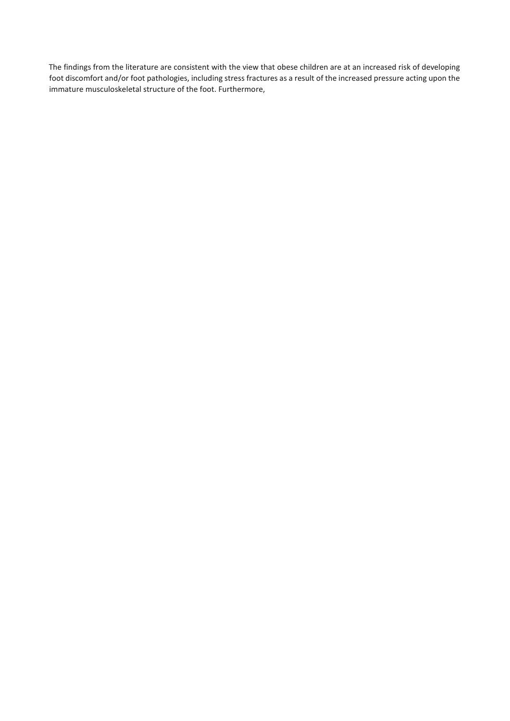The findings from the literature are consistent with the view that obese children are at an increased risk of developing foot discomfort and/or foot pathologies, including stress fractures as a result of the increased pressure acting upon the immature musculoskeletal structure of the foot. Furthermore,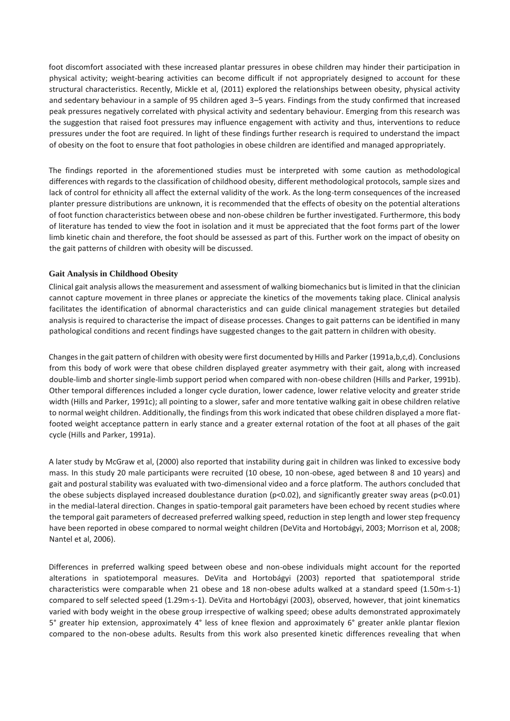foot discomfort associated with these increased plantar pressures in obese children may hinder their participation in physical activity; weight-bearing activities can become difficult if not appropriately designed to account for these structural characteristics. Recently, Mickle et al, (2011) explored the relationships between obesity, physical activity and sedentary behaviour in a sample of 95 children aged 3–5 years. Findings from the study confirmed that increased peak pressures negatively correlated with physical activity and sedentary behaviour. Emerging from this research was the suggestion that raised foot pressures may influence engagement with activity and thus, interventions to reduce pressures under the foot are required. In light of these findings further research is required to understand the impact of obesity on the foot to ensure that foot pathologies in obese children are identified and managed appropriately.

The findings reported in the aforementioned studies must be interpreted with some caution as methodological differences with regards to the classification of childhood obesity, different methodological protocols, sample sizes and lack of control for ethnicity all affect the external validity of the work. As the long-term consequences of the increased planter pressure distributions are unknown, it is recommended that the effects of obesity on the potential alterations of foot function characteristics between obese and non-obese children be further investigated. Furthermore, this body of literature has tended to view the foot in isolation and it must be appreciated that the foot forms part of the lower limb kinetic chain and therefore, the foot should be assessed as part of this. Further work on the impact of obesity on the gait patterns of children with obesity will be discussed.

### **Gait Analysis in Childhood Obesity**

Clinical gait analysis allows the measurement and assessment of walking biomechanics but is limited in that the clinician cannot capture movement in three planes or appreciate the kinetics of the movements taking place. Clinical analysis facilitates the identification of abnormal characteristics and can guide clinical management strategies but detailed analysis is required to characterise the impact of disease processes. Changes to gait patterns can be identified in many pathological conditions and recent findings have suggested changes to the gait pattern in children with obesity.

Changes in the gait pattern of children with obesity were first documented by Hills and Parker (1991a,b,c,d). Conclusions from this body of work were that obese children displayed greater asymmetry with their gait, along with increased double-limb and shorter single-limb support period when compared with non-obese children (Hills and Parker, 1991b). Other temporal differences included a longer cycle duration, lower cadence, lower relative velocity and greater stride width (Hills and Parker, 1991c); all pointing to a slower, safer and more tentative walking gait in obese children relative to normal weight children. Additionally, the findings from this work indicated that obese children displayed a more flatfooted weight acceptance pattern in early stance and a greater external rotation of the foot at all phases of the gait cycle (Hills and Parker, 1991a).

A later study by McGraw et al, (2000) also reported that instability during gait in children was linked to excessive body mass. In this study 20 male participants were recruited (10 obese, 10 non-obese, aged between 8 and 10 years) and gait and postural stability was evaluated with two-dimensional video and a force platform. The authors concluded that the obese subjects displayed increased doublestance duration (p<0.02), and significantly greater sway areas (p<0.01) in the medial-lateral direction. Changes in spatio-temporal gait parameters have been echoed by recent studies where the temporal gait parameters of decreased preferred walking speed, reduction in step length and lower step frequency have been reported in obese compared to normal weight children (DeVita and Hortobágyi, 2003; Morrison et al, 2008; Nantel et al, 2006).

Differences in preferred walking speed between obese and non-obese individuals might account for the reported alterations in spatiotemporal measures. DeVita and Hortobágyi (2003) reported that spatiotemporal stride characteristics were comparable when 21 obese and 18 non-obese adults walked at a standard speed (1.50m·s-1) compared to self selected speed (1.29m·s-1). DeVita and Hortobágyi (2003), observed, however, that joint kinematics varied with body weight in the obese group irrespective of walking speed; obese adults demonstrated approximately 5° greater hip extension, approximately 4° less of knee flexion and approximately 6° greater ankle plantar flexion compared to the non-obese adults. Results from this work also presented kinetic differences revealing that when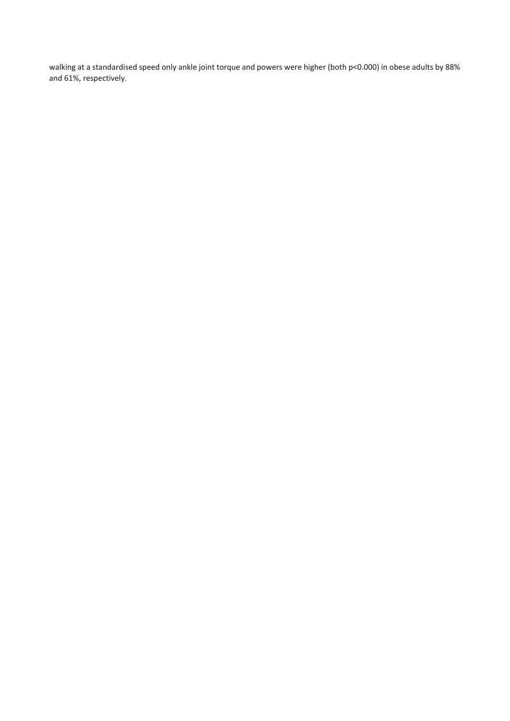walking at a standardised speed only ankle joint torque and powers were higher (both p<0.000) in obese adults by 88% and 61%, respectively.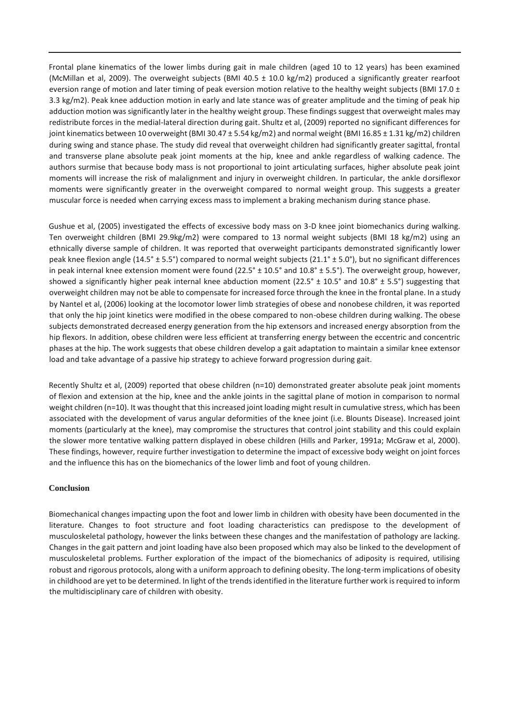Frontal plane kinematics of the lower limbs during gait in male children (aged 10 to 12 years) has been examined (McMillan et al, 2009). The overweight subjects (BMI 40.5  $\pm$  10.0 kg/m2) produced a significantly greater rearfoot eversion range of motion and later timing of peak eversion motion relative to the healthy weight subjects (BMI 17.0  $\pm$ 3.3 kg/m2). Peak knee adduction motion in early and late stance was of greater amplitude and the timing of peak hip adduction motion was significantly later in the healthy weight group. These findings suggest that overweight males may redistribute forces in the medial-lateral direction during gait. Shultz et al, (2009) reported no significant differences for joint kinematics between 10 overweight (BMI 30.47 ± 5.54 kg/m2) and normal weight (BMI 16.85 ± 1.31 kg/m2) children during swing and stance phase. The study did reveal that overweight children had significantly greater sagittal, frontal and transverse plane absolute peak joint moments at the hip, knee and ankle regardless of walking cadence. The authors surmise that because body mass is not proportional to joint articulating surfaces, higher absolute peak joint moments will increase the risk of malalignment and injury in overweight children. In particular, the ankle dorsiflexor moments were significantly greater in the overweight compared to normal weight group. This suggests a greater muscular force is needed when carrying excess mass to implement a braking mechanism during stance phase.

Gushue et al, (2005) investigated the effects of excessive body mass on 3-D knee joint biomechanics during walking. Ten overweight children (BMI 29.9kg/m2) were compared to 13 normal weight subjects (BMI 18 kg/m2) using an ethnically diverse sample of children. It was reported that overweight participants demonstrated significantly lower peak knee flexion angle (14.5° ± 5.5°) compared to normal weight subjects (21.1° ± 5.0°), but no significant differences in peak internal knee extension moment were found  $(22.5° \pm 10.5° \text{ and } 10.8° \pm 5.5°)$ . The overweight group, however, showed a significantly higher peak internal knee abduction moment (22.5°  $\pm$  10.5° and 10.8°  $\pm$  5.5°) suggesting that overweight children may not be able to compensate for increased force through the knee in the frontal plane. In a study by Nantel et al, (2006) looking at the locomotor lower limb strategies of obese and nonobese children, it was reported that only the hip joint kinetics were modified in the obese compared to non-obese children during walking. The obese subjects demonstrated decreased energy generation from the hip extensors and increased energy absorption from the hip flexors. In addition, obese children were less efficient at transferring energy between the eccentric and concentric phases at the hip. The work suggests that obese children develop a gait adaptation to maintain a similar knee extensor load and take advantage of a passive hip strategy to achieve forward progression during gait.

Recently Shultz et al, (2009) reported that obese children (n=10) demonstrated greater absolute peak joint moments of flexion and extension at the hip, knee and the ankle joints in the sagittal plane of motion in comparison to normal weight children (n=10). It was thought that this increased joint loading might result in cumulative stress, which has been associated with the development of varus angular deformities of the knee joint (i.e. Blounts Disease). Increased joint moments (particularly at the knee), may compromise the structures that control joint stability and this could explain the slower more tentative walking pattern displayed in obese children (Hills and Parker, 1991a; McGraw et al, 2000). These findings, however, require further investigation to determine the impact of excessive body weight on joint forces and the influence this has on the biomechanics of the lower limb and foot of young children.

#### **Conclusion**

Biomechanical changes impacting upon the foot and lower limb in children with obesity have been documented in the literature. Changes to foot structure and foot loading characteristics can predispose to the development of musculoskeletal pathology, however the links between these changes and the manifestation of pathology are lacking. Changes in the gait pattern and joint loading have also been proposed which may also be linked to the development of musculoskeletal problems. Further exploration of the impact of the biomechanics of adiposity is required, utilising robust and rigorous protocols, along with a uniform approach to defining obesity. The long-term implications of obesity in childhood are yet to be determined. In light of the trends identified in the literature further work is required to inform the multidisciplinary care of children with obesity.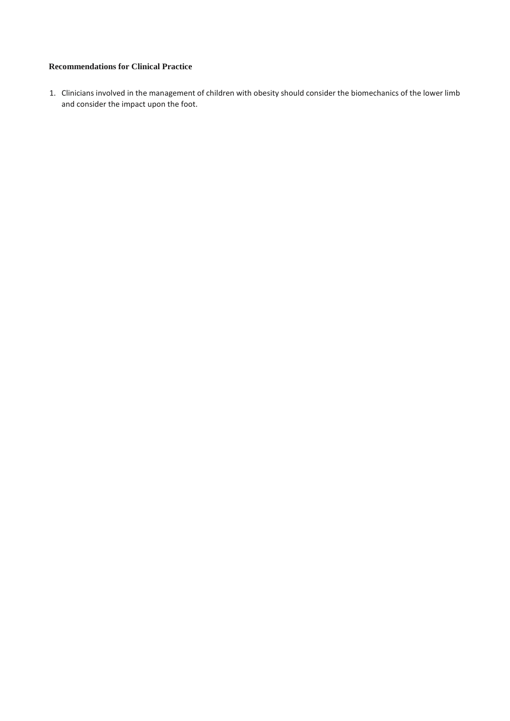## **Recommendations for Clinical Practice**

1. Clinicians involved in the management of children with obesity should consider the biomechanics of the lower limb and consider the impact upon the foot.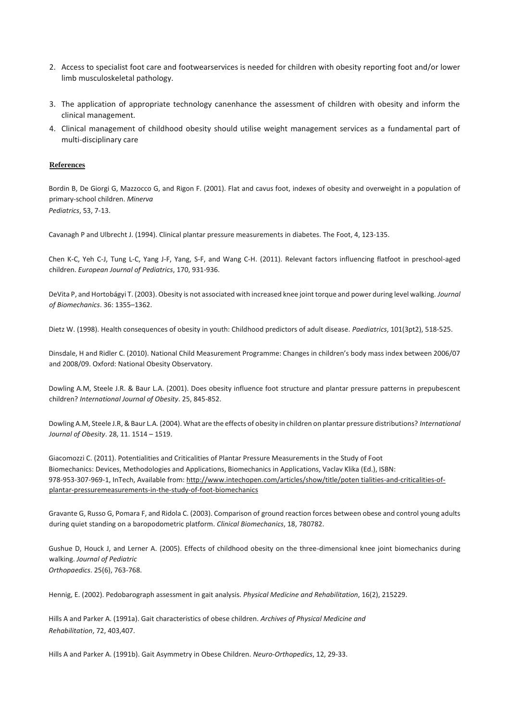- 2. Access to specialist foot care and footwearservices is needed for children with obesity reporting foot and/or lower limb musculoskeletal pathology.
- 3. The application of appropriate technology canenhance the assessment of children with obesity and inform the clinical management.
- 4. Clinical management of childhood obesity should utilise weight management services as a fundamental part of multi-disciplinary care

#### **References**

Bordin B, De Giorgi G, Mazzocco G, and Rigon F. (2001). Flat and cavus foot, indexes of obesity and overweight in a population of primary-school children. *Minerva Pediatrics*, 53, 7-13.

Cavanagh P and Ulbrecht J. (1994). Clinical plantar pressure measurements in diabetes. The Foot, 4, 123-135.

Chen K-C, Yeh C-J, Tung L-C, Yang J-F, Yang, S-F, and Wang C-H. (2011). Relevant factors influencing flatfoot in preschool-aged children. *European Journal of Pediatrics*, 170, 931-936.

DeVita P, and Hortobágyi T. (2003). Obesity is not associated with increased knee joint torque and power during level walking. *Journal of Biomechanics*. 36: 1355–1362.

Dietz W. (1998). Health consequences of obesity in youth: Childhood predictors of adult disease. *Paediatrics*, 101(3pt2), 518-525.

Dinsdale, H and Ridler C. (2010). National Child Measurement Programme: Changes in children's body mass index between 2006/07 and 2008/09. Oxford: National Obesity Observatory.

Dowling A.M, Steele J.R. & Baur L.A. (2001). Does obesity influence foot structure and plantar pressure patterns in prepubescent children? *International Journal of Obesity*. 25, 845-852.

Dowling A.M, Steele J.R, & Baur L.A. (2004). What are the effects of obesity in children on plantar pressure distributions? *International Journal of Obesity*. 28, 11. 1514 – 1519.

Giacomozzi C. (2011). Potentialities and Criticalities of Plantar Pressure Measurements in the Study of Foot Biomechanics: Devices, Methodologies and Applications, Biomechanics in Applications, Vaclav Klika (Ed.), ISBN: 978-953-307-969-1, InTech, Available from: http://www.intechopen.com/articles/show/title/poten tialities-and-criticalities-ofplantar-pressuremeasurements-in-the-study-of-foot-biomechanics

Gravante G, Russo G, Pomara F, and Ridola C. (2003). Comparison of ground reaction forces between obese and control young adults during quiet standing on a baropodometric platform. *Clinical Biomechanics*, 18, 780782.

Gushue D, Houck J, and Lerner A. (2005). Effects of childhood obesity on the three-dimensional knee joint biomechanics during walking. *Journal of Pediatric Orthopaedics*. 25(6), 763-768.

Hennig, E. (2002). Pedobarograph assessment in gait analysis. *Physical Medicine and Rehabilitation*, 16(2), 215229.

Hills A and Parker A. (1991a). Gait characteristics of obese children. *Archives of Physical Medicine and Rehabilitation*, 72, 403,407.

Hills A and Parker A. (1991b). Gait Asymmetry in Obese Children. *Neuro-Orthopedics*, 12, 29-33.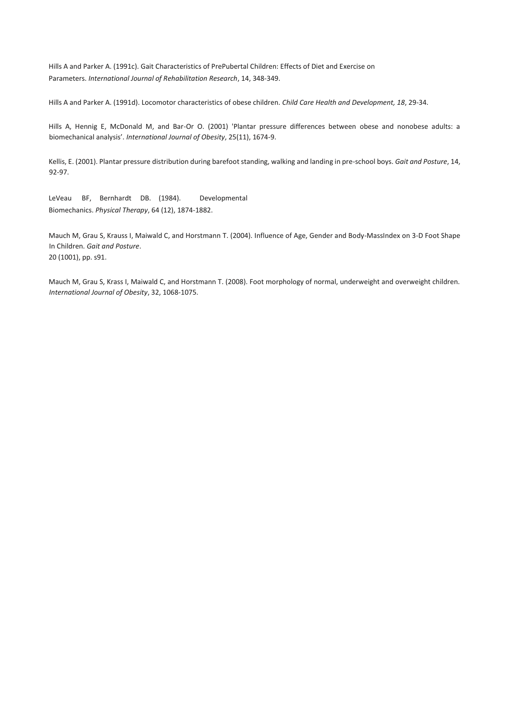Hills A and Parker A. (1991c). Gait Characteristics of PrePubertal Children: Effects of Diet and Exercise on Parameters. *International Journal of Rehabilitation Research*, 14, 348-349.

Hills A and Parker A. (1991d). Locomotor characteristics of obese children. *Child Care Health and Development, 18*, 29-34.

Hills A, Hennig E, McDonald M, and Bar-Or O. (2001) 'Plantar pressure differences between obese and nonobese adults: a biomechanical analysis'. *International Journal of Obesity*, 25(11), 1674-9.

Kellis, E. (2001). Plantar pressure distribution during barefoot standing, walking and landing in pre-school boys. *Gait and Posture*, 14, 92-97.

LeVeau BF, Bernhardt DB. (1984). Developmental Biomechanics. *Physical Therapy*, 64 (12), 1874-1882.

Mauch M, Grau S, Krauss I, Maiwald C, and Horstmann T. (2004). Influence of Age, Gender and Body-MassIndex on 3-D Foot Shape In Children. *Gait and Posture*. 20 (1001), pp. s91.

Mauch M, Grau S, Krass I, Maiwald C, and Horstmann T. (2008). Foot morphology of normal, underweight and overweight children. *International Journal of Obesity*, 32, 1068-1075.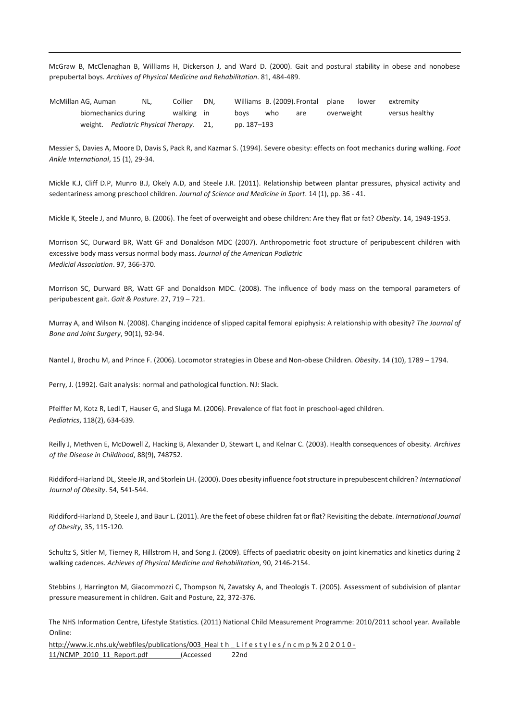McGraw B, McClenaghan B, Williams H, Dickerson J, and Ward D. (2000). Gait and postural stability in obese and nonobese prepubertal boys. *Archives of Physical Medicine and Rehabilitation*. 81, 484-489.

McMillan AG, Auman NL, Collier DN, Williams B. (2009).Frontal plane lower extremity biomechanics during walking in boys who are overweight versus healthy weight. *Pediatric Physical Therapy*. 21, pp. 187-193

Messier S, Davies A, Moore D, Davis S, Pack R, and Kazmar S. (1994). Severe obesity: effects on foot mechanics during walking. *Foot Ankle International*, 15 (1), 29-34.

Mickle K.J, Cliff D.P, Munro B.J, Okely A.D, and Steele J.R. (2011). Relationship between plantar pressures, physical activity and sedentariness among preschool children. *Journal of Science and Medicine in Sport*. 14 (1), pp. 36 - 41.

Mickle K, Steele J, and Munro, B. (2006). The feet of overweight and obese children: Are they flat or fat? *Obesity*. 14, 1949-1953.

Morrison SC, Durward BR, Watt GF and Donaldson MDC (2007). Anthropometric foot structure of peripubescent children with excessive body mass versus normal body mass. *Journal of the American Podiatric Medicial Association*. 97, 366-370.

Morrison SC, Durward BR, Watt GF and Donaldson MDC. (2008). The influence of body mass on the temporal parameters of peripubescent gait. *Gait & Posture*. 27, 719 – 721.

Murray A, and Wilson N. (2008). Changing incidence of slipped capital femoral epiphysis: A relationship with obesity? *The Journal of Bone and Joint Surgery*, 90(1), 92-94.

Nantel J, Brochu M, and Prince F. (2006). Locomotor strategies in Obese and Non-obese Children. *Obesity*. 14 (10), 1789 – 1794.

Perry, J. (1992). Gait analysis: normal and pathological function. NJ: Slack.

Pfeiffer M, Kotz R, Ledl T, Hauser G, and Sluga M. (2006). Prevalence of flat foot in preschool-aged children. *Pediatrics*, 118(2), 634-639.

Reilly J, Methven E, McDowell Z, Hacking B, Alexander D, Stewart L, and Kelnar C. (2003). Health consequences of obesity. *Archives of the Disease in Childhood*, 88(9), 748752.

Riddiford-Harland DL, Steele JR, and Storlein LH. (2000). Does obesity influence foot structure in prepubescent children? *International Journal of Obesity*. 54, 541-544.

Riddiford-Harland D, Steele J, and Baur L. (2011). Are the feet of obese children fat or flat? Revisiting the debate. *International Journal of Obesity*, 35, 115-120.

Schultz S, Sitler M, Tierney R, Hillstrom H, and Song J. (2009). Effects of paediatric obesity on joint kinematics and kinetics during 2 walking cadences. *Achieves of Physical Medicine and Rehabilitation*, 90, 2146-2154.

Stebbins J, Harrington M, Giacommozzi C, Thompson N, Zavatsky A, and Theologis T. (2005). Assessment of subdivision of plantar pressure measurement in children. Gait and Posture, 22, 372-376.

The NHS Information Centre, Lifestyle Statistics. (2011) National Child Measurement Programme: 2010/2011 school year. Available Online:

http://www.ic.nhs.uk/webfiles/publications/003 Heal t h Lifestyles/n c m p % 2 0 2 0 1 0 -11/NCMP 2010 11 Report.pdf (Accessed 22nd